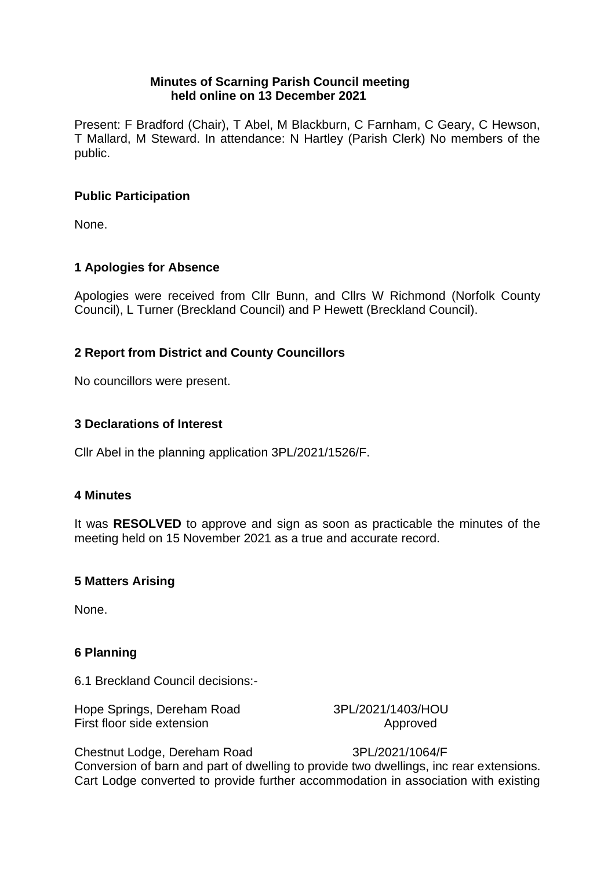### **Minutes of Scarning Parish Council meeting held online on 13 December 2021**

Present: F Bradford (Chair), T Abel, M Blackburn, C Farnham, C Geary, C Hewson, T Mallard, M Steward. In attendance: N Hartley (Parish Clerk) No members of the public.

# **Public Participation**

None.

# **1 Apologies for Absence**

Apologies were received from Cllr Bunn, and Cllrs W Richmond (Norfolk County Council), L Turner (Breckland Council) and P Hewett (Breckland Council).

# **2 Report from District and County Councillors**

No councillors were present.

# **3 Declarations of Interest**

Cllr Abel in the planning application 3PL/2021/1526/F.

### **4 Minutes**

It was **RESOLVED** to approve and sign as soon as practicable the minutes of the meeting held on 15 November 2021 as a true and accurate record.

# **5 Matters Arising**

None.

# **6 Planning**

6.1 Breckland Council decisions:-

Hope Springs, Dereham Road 3PL/2021/1403/HOU First floor side extension Approved

Chestnut Lodge, Dereham Road 3PL/2021/1064/F Conversion of barn and part of dwelling to provide two dwellings, inc rear extensions. Cart Lodge converted to provide further accommodation in association with existing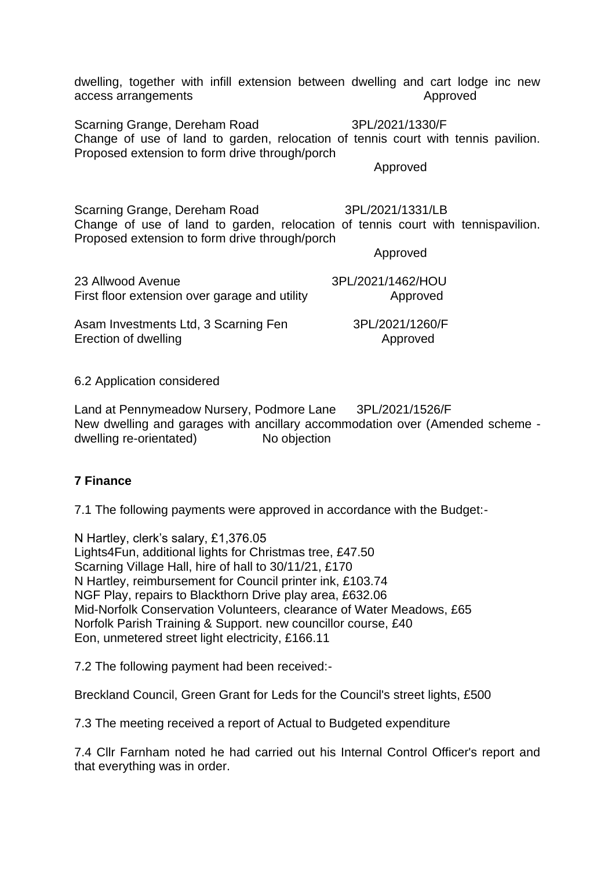dwelling, together with infill extension between dwelling and cart lodge inc new access arrangements access arrangements

Scarning Grange, Dereham Road 3PL/2021/1330/F Change of use of land to garden, relocation of tennis court with tennis pavilion. Proposed extension to form drive through/porch

Approved

Scarning Grange, Dereham Road 3PL/2021/1331/LB Change of use of land to garden, relocation of tennis court with tennispavilion. Proposed extension to form drive through/porch

Approved

23 Allwood Avenue 3PL/2021/1462/HOU First floor extension over garage and utility **Approved** 

Asam Investments Ltd, 3 Scarning Fen 3PL/2021/1260/F Erection of dwelling and a state of the Approved

6.2 Application considered

Land at Pennymeadow Nursery, Podmore Lane 3PL/2021/1526/F New dwelling and garages with ancillary accommodation over (Amended scheme dwelling re-orientated) No objection

# **7 Finance**

7.1 The following payments were approved in accordance with the Budget:-

N Hartley, clerk's salary, £1,376.05 Lights4Fun, additional lights for Christmas tree, £47.50 Scarning Village Hall, hire of hall to 30/11/21, £170 N Hartley, reimbursement for Council printer ink, £103.74 NGF Play, repairs to Blackthorn Drive play area, £632.06 Mid-Norfolk Conservation Volunteers, clearance of Water Meadows, £65 Norfolk Parish Training & Support. new councillor course, £40 Eon, unmetered street light electricity, £166.11

7.2 The following payment had been received:-

Breckland Council, Green Grant for Leds for the Council's street lights, £500

7.3 The meeting received a report of Actual to Budgeted expenditure

7.4 Cllr Farnham noted he had carried out his Internal Control Officer's report and that everything was in order.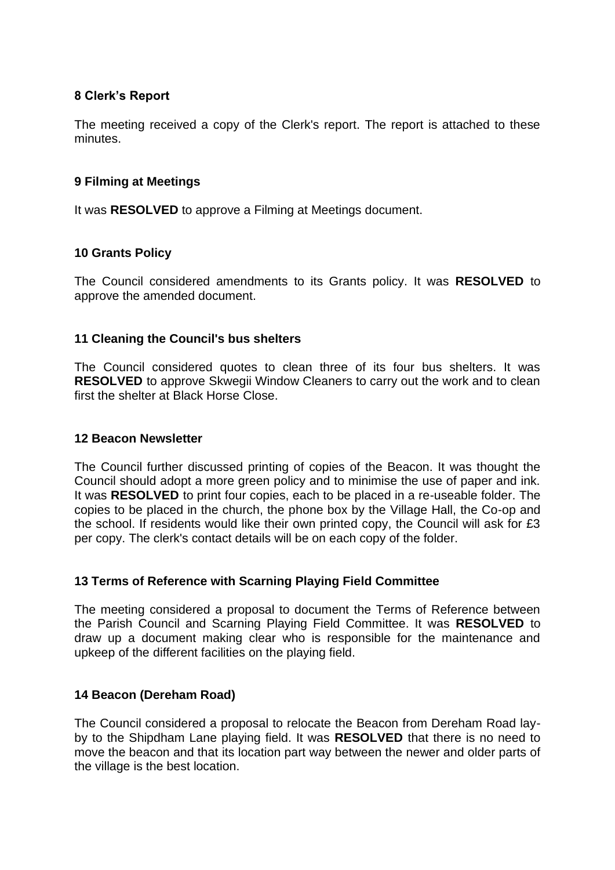# **8 Clerk's Report**

The meeting received a copy of the Clerk's report. The report is attached to these minutes.

### **9 Filming at Meetings**

It was **RESOLVED** to approve a Filming at Meetings document.

### **10 Grants Policy**

The Council considered amendments to its Grants policy. It was **RESOLVED** to approve the amended document.

### **11 Cleaning the Council's bus shelters**

The Council considered quotes to clean three of its four bus shelters. It was **RESOLVED** to approve Skwegii Window Cleaners to carry out the work and to clean first the shelter at Black Horse Close.

### **12 Beacon Newsletter**

The Council further discussed printing of copies of the Beacon. It was thought the Council should adopt a more green policy and to minimise the use of paper and ink. It was **RESOLVED** to print four copies, each to be placed in a re-useable folder. The copies to be placed in the church, the phone box by the Village Hall, the Co-op and the school. If residents would like their own printed copy, the Council will ask for £3 per copy. The clerk's contact details will be on each copy of the folder.

### **13 Terms of Reference with Scarning Playing Field Committee**

The meeting considered a proposal to document the Terms of Reference between the Parish Council and Scarning Playing Field Committee. It was **RESOLVED** to draw up a document making clear who is responsible for the maintenance and upkeep of the different facilities on the playing field.

### **14 Beacon (Dereham Road)**

The Council considered a proposal to relocate the Beacon from Dereham Road layby to the Shipdham Lane playing field. It was **RESOLVED** that there is no need to move the beacon and that its location part way between the newer and older parts of the village is the best location.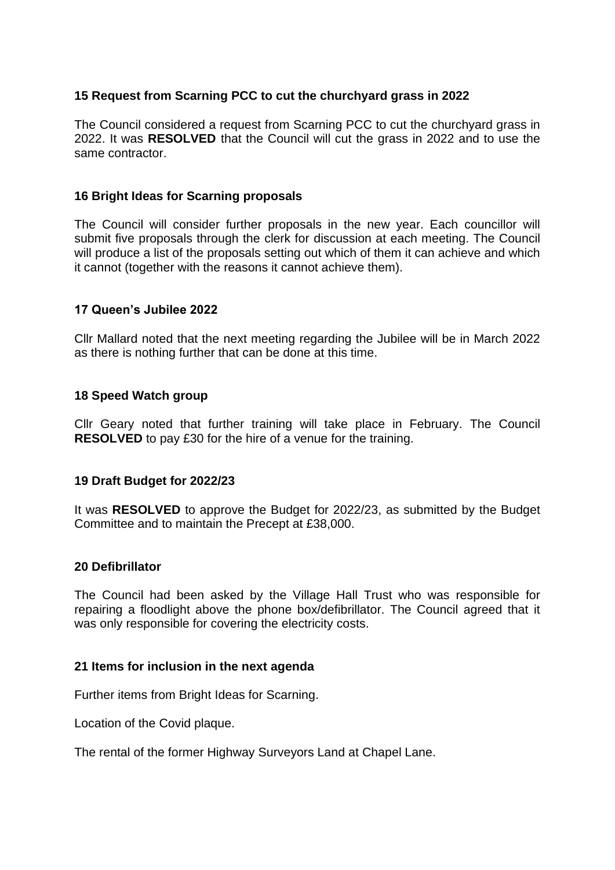### **15 Request from Scarning PCC to cut the churchyard grass in 2022**

The Council considered a request from Scarning PCC to cut the churchyard grass in 2022. It was **RESOLVED** that the Council will cut the grass in 2022 and to use the same contractor.

### **16 Bright Ideas for Scarning proposals**

The Council will consider further proposals in the new year. Each councillor will submit five proposals through the clerk for discussion at each meeting. The Council will produce a list of the proposals setting out which of them it can achieve and which it cannot (together with the reasons it cannot achieve them).

### **17 Queen's Jubilee 2022**

Cllr Mallard noted that the next meeting regarding the Jubilee will be in March 2022 as there is nothing further that can be done at this time.

### **18 Speed Watch group**

Cllr Geary noted that further training will take place in February. The Council **RESOLVED** to pay £30 for the hire of a venue for the training.

#### **19 Draft Budget for 2022/23**

It was **RESOLVED** to approve the Budget for 2022/23, as submitted by the Budget Committee and to maintain the Precept at £38,000.

#### **20 Defibrillator**

The Council had been asked by the Village Hall Trust who was responsible for repairing a floodlight above the phone box/defibrillator. The Council agreed that it was only responsible for covering the electricity costs.

#### **21 Items for inclusion in the next agenda**

Further items from Bright Ideas for Scarning.

Location of the Covid plaque.

The rental of the former Highway Surveyors Land at Chapel Lane.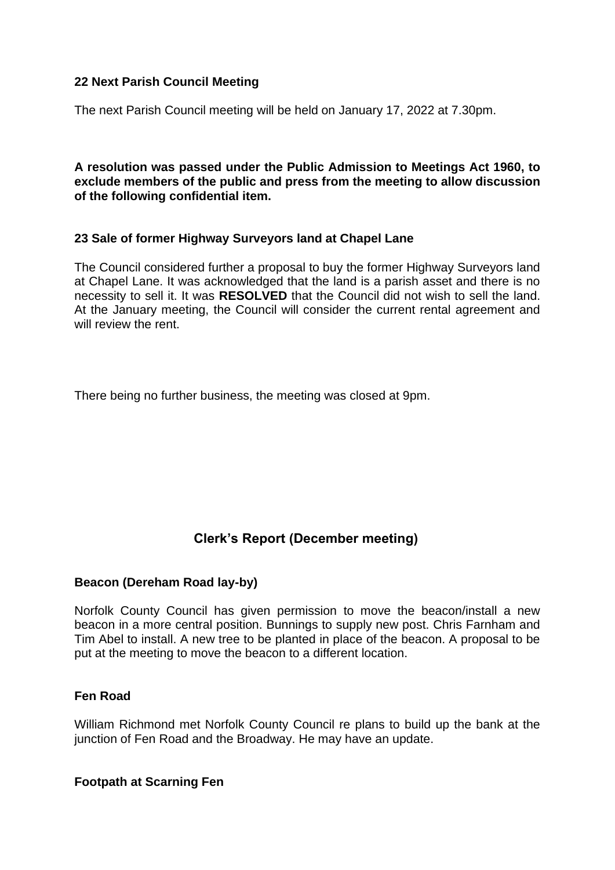## **22 Next Parish Council Meeting**

The next Parish Council meeting will be held on January 17, 2022 at 7.30pm.

**A resolution was passed under the Public Admission to Meetings Act 1960, to exclude members of the public and press from the meeting to allow discussion of the following confidential item.**

### **23 Sale of former Highway Surveyors land at Chapel Lane**

The Council considered further a proposal to buy the former Highway Surveyors land at Chapel Lane. It was acknowledged that the land is a parish asset and there is no necessity to sell it. It was **RESOLVED** that the Council did not wish to sell the land. At the January meeting, the Council will consider the current rental agreement and will review the rent.

There being no further business, the meeting was closed at 9pm.

# **Clerk's Report (December meeting)**

### **Beacon (Dereham Road lay-by)**

Norfolk County Council has given permission to move the beacon/install a new beacon in a more central position. Bunnings to supply new post. Chris Farnham and Tim Abel to install. A new tree to be planted in place of the beacon. A proposal to be put at the meeting to move the beacon to a different location.

### **Fen Road**

William Richmond met Norfolk County Council re plans to build up the bank at the junction of Fen Road and the Broadway. He may have an update.

**Footpath at Scarning Fen**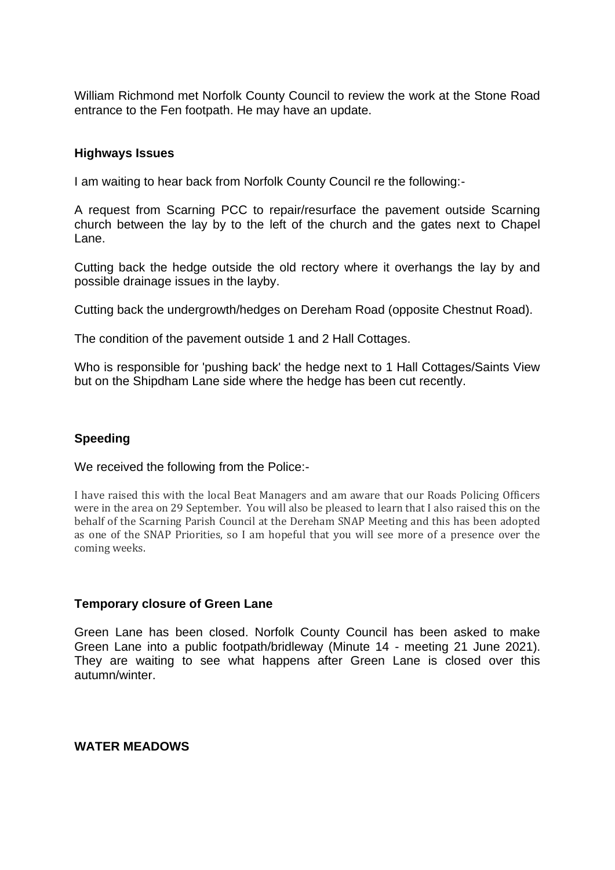William Richmond met Norfolk County Council to review the work at the Stone Road entrance to the Fen footpath. He may have an update.

### **Highways Issues**

I am waiting to hear back from Norfolk County Council re the following:-

A request from Scarning PCC to repair/resurface the pavement outside Scarning church between the lay by to the left of the church and the gates next to Chapel Lane.

Cutting back the hedge outside the old rectory where it overhangs the lay by and possible drainage issues in the layby.

Cutting back the undergrowth/hedges on Dereham Road (opposite Chestnut Road).

The condition of the pavement outside 1 and 2 Hall Cottages.

Who is responsible for 'pushing back' the hedge next to 1 Hall Cottages/Saints View but on the Shipdham Lane side where the hedge has been cut recently.

### **Speeding**

We received the following from the Police:-

I have raised this with the local Beat Managers and am aware that our Roads Policing Officers were in the area on 29 September. You will also be pleased to learn that I also raised this on the behalf of the Scarning Parish Council at the Dereham SNAP Meeting and this has been adopted as one of the SNAP Priorities, so I am hopeful that you will see more of a presence over the coming weeks.

#### **Temporary closure of Green Lane**

Green Lane has been closed. Norfolk County Council has been asked to make Green Lane into a public footpath/bridleway (Minute 14 - meeting 21 June 2021). They are waiting to see what happens after Green Lane is closed over this autumn/winter.

#### **WATER MEADOWS**